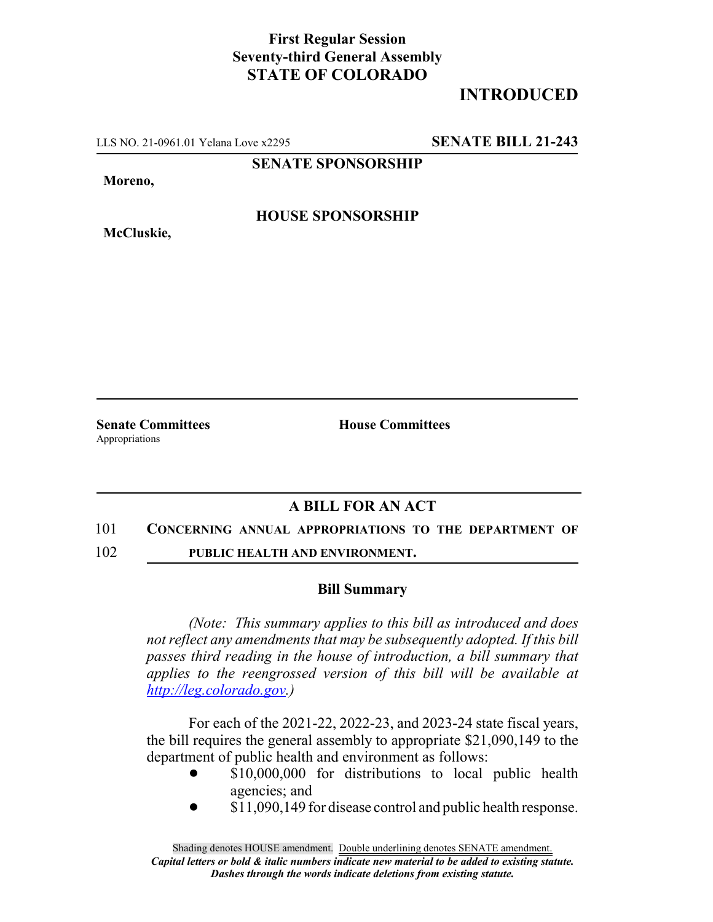### **First Regular Session Seventy-third General Assembly STATE OF COLORADO**

## **INTRODUCED**

LLS NO. 21-0961.01 Yelana Love x2295 **SENATE BILL 21-243**

**SENATE SPONSORSHIP**

**Moreno,**

**McCluskie,**

**HOUSE SPONSORSHIP**

Appropriations

**Senate Committees House Committees** 

# **A BILL FOR AN ACT**

### 101 **CONCERNING ANNUAL APPROPRIATIONS TO THE DEPARTMENT OF**

102 **PUBLIC HEALTH AND ENVIRONMENT.**

### **Bill Summary**

*(Note: This summary applies to this bill as introduced and does not reflect any amendments that may be subsequently adopted. If this bill passes third reading in the house of introduction, a bill summary that applies to the reengrossed version of this bill will be available at http://leg.colorado.gov.)*

For each of the 2021-22, 2022-23, and 2023-24 state fiscal years, the bill requires the general assembly to appropriate \$21,090,149 to the department of public health and environment as follows:

- \$10,000,000 for distributions to local public health agencies; and
- \$11,090,149 for disease control and public health response.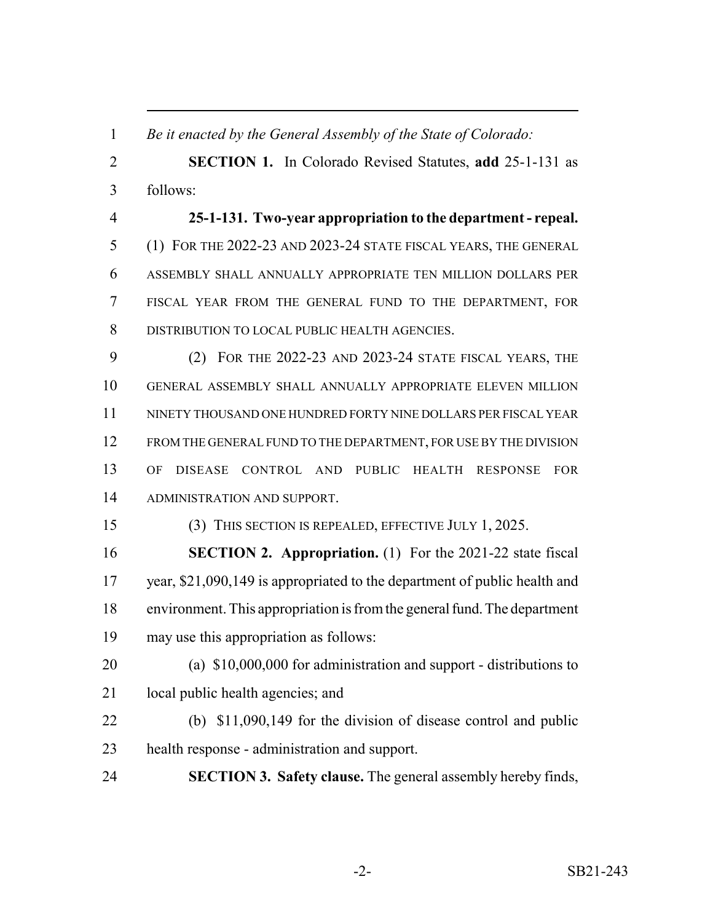*Be it enacted by the General Assembly of the State of Colorado:*

 **SECTION 1.** In Colorado Revised Statutes, **add** 25-1-131 as follows:

 **25-1-131. Two-year appropriation to the department - repeal.** (1) FOR THE 2022-23 AND 2023-24 STATE FISCAL YEARS, THE GENERAL ASSEMBLY SHALL ANNUALLY APPROPRIATE TEN MILLION DOLLARS PER FISCAL YEAR FROM THE GENERAL FUND TO THE DEPARTMENT, FOR DISTRIBUTION TO LOCAL PUBLIC HEALTH AGENCIES.

 (2) FOR THE 2022-23 AND 2023-24 STATE FISCAL YEARS, THE GENERAL ASSEMBLY SHALL ANNUALLY APPROPRIATE ELEVEN MILLION NINETY THOUSAND ONE HUNDRED FORTY NINE DOLLARS PER FISCAL YEAR 12 FROM THE GENERAL FUND TO THE DEPARTMENT, FOR USE BY THE DIVISION OF DISEASE CONTROL AND PUBLIC HEALTH RESPONSE FOR ADMINISTRATION AND SUPPORT.

(3) THIS SECTION IS REPEALED, EFFECTIVE JULY 1, 2025.

 **SECTION 2. Appropriation.** (1) For the 2021-22 state fiscal 17 year, \$21,090,149 is appropriated to the department of public health and environment. This appropriation is from the general fund. The department may use this appropriation as follows:

 (a) \$10,000,000 for administration and support - distributions to 21 local public health agencies; and

- (b) \$11,090,149 for the division of disease control and public health response - administration and support.
- **SECTION 3. Safety clause.** The general assembly hereby finds,